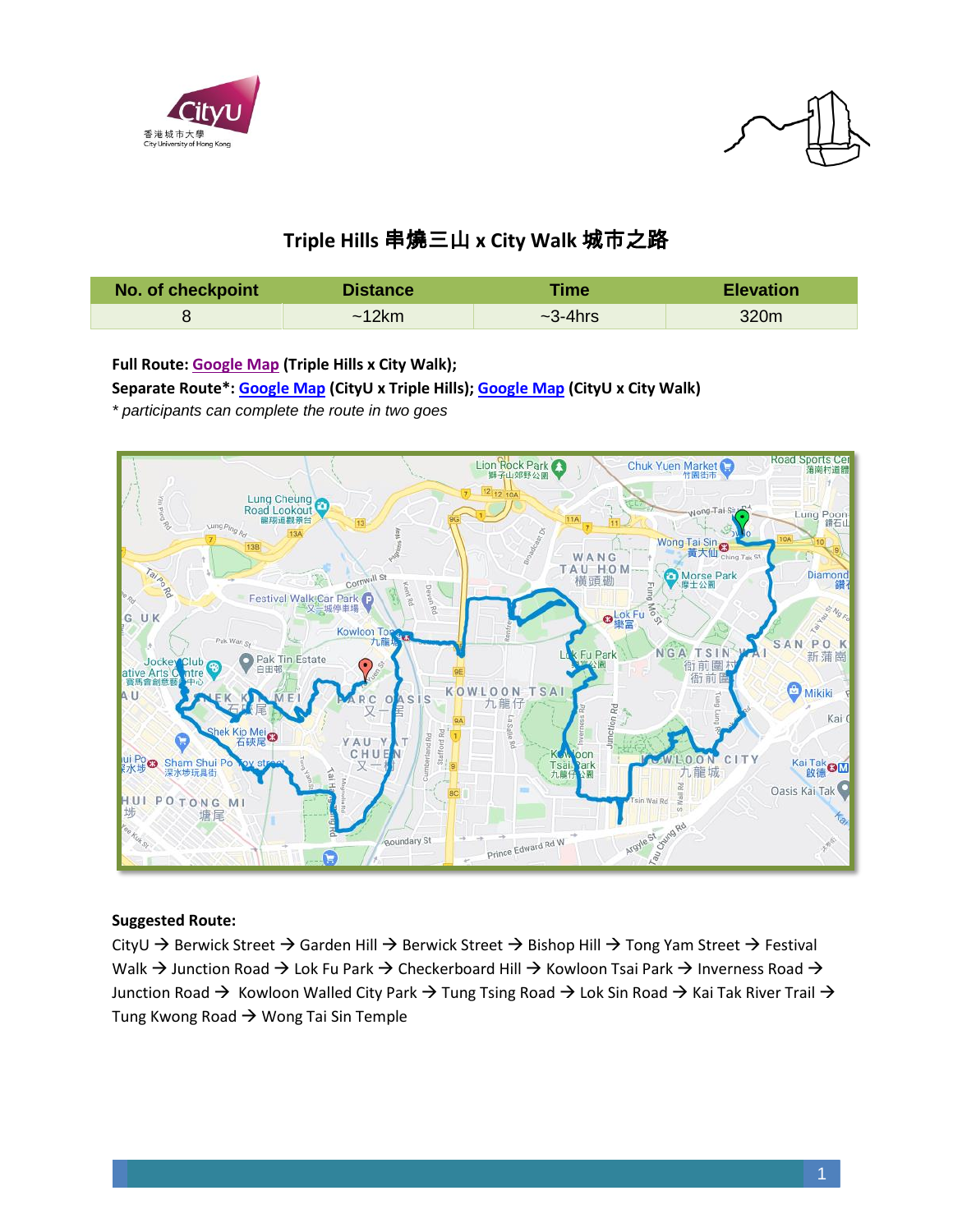



# **Triple Hills** 串燒三山 **x City Walk** 城市之路

| No. of checkpoint | <b>Distance</b> | <b>Time</b>   | <b>Elevation</b> |
|-------------------|-----------------|---------------|------------------|
|                   | ~12km           | $\sim$ 3-4hrs | 320m             |

**Full Route[: Google Map](https://www.google.com/maps/d/u/0/edit?mid=1eH6jz1bagZO0eXipuEn6jIzA2pQ7q3Yb&usp=sharing) (Triple Hills x City Walk);**

**Separate Route\*: [Google Map](https://www.google.com/maps/d/u/0/edit?mid=129SDKQJqxaNHjbMXKJSuI3nI0rLDvx0D&usp=sharing) (CityU x Triple Hills); [Google Map](https://www.google.com/maps/d/edit?mid=1wWBH_jLYIyTAHNN0IWJ7LSzsBQvw5bkd&usp=sharing) (CityU x City Walk)** *\* participants can complete the route in two goes*



#### **Suggested Route:**

CityU → Berwick Street → Garden Hill → Berwick Street → Bishop Hill → Tong Yam Street → Festival Walk  $\rightarrow$  Junction Road  $\rightarrow$  Lok Fu Park  $\rightarrow$  Checkerboard Hill  $\rightarrow$  Kowloon Tsai Park  $\rightarrow$  Inverness Road  $\rightarrow$ Junction Road → Kowloon Walled City Park → Tung Tsing Road → Lok Sin Road → Kai Tak River Trail → Tung Kwong Road  $\rightarrow$  Wong Tai Sin Temple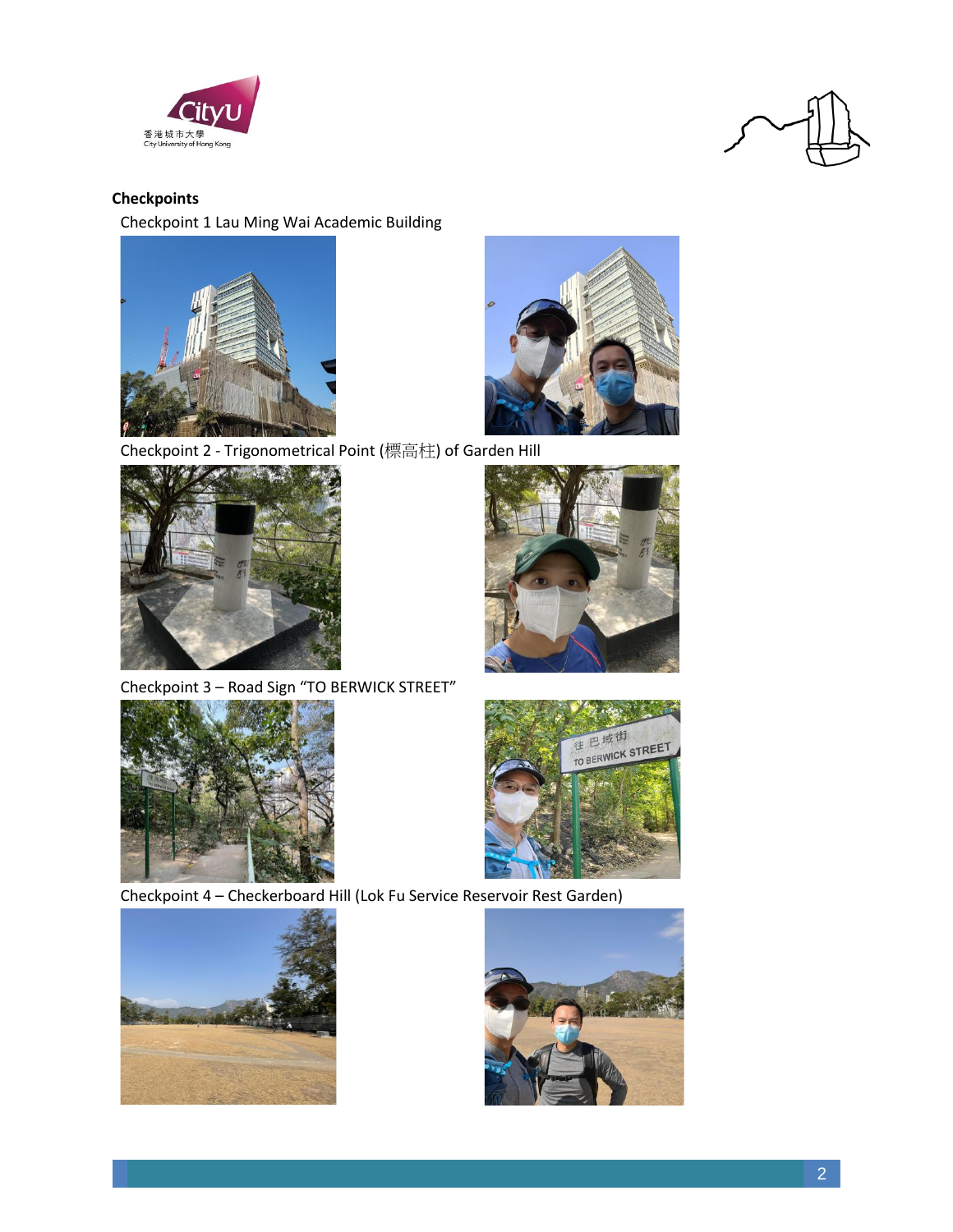



## **Checkpoints**

Checkpoint 1 Lau Ming Wai Academic Building





Checkpoint 2 - Trigonometrical Point (標高柱) of Garden Hill



Checkpoint 3 – Road Sign "TO BERWICK STREET"





Checkpoint 4 – Checkerboard Hill (Lok Fu Service Reservoir Rest Garden)



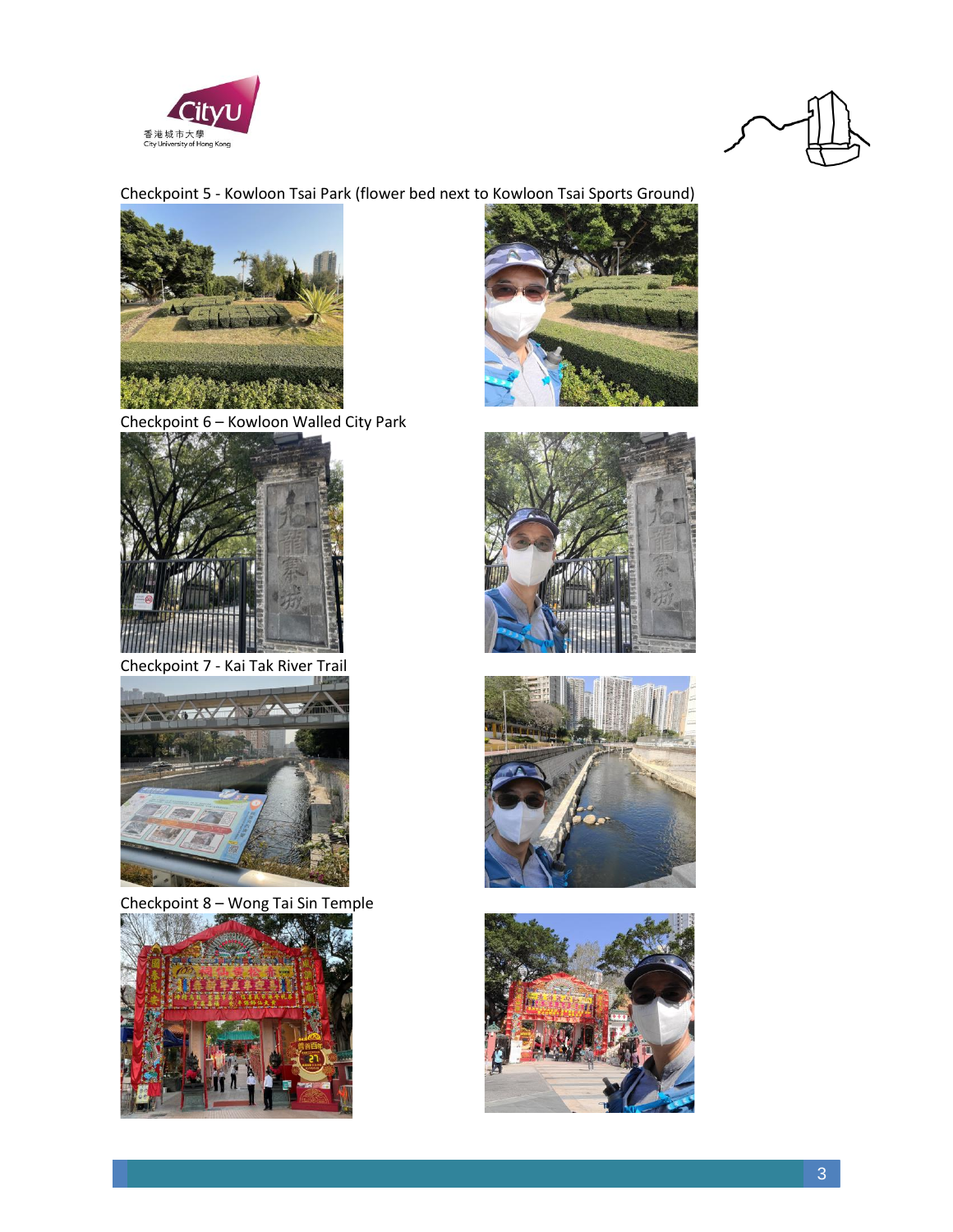



# Checkpoint 5 - Kowloon Tsai Park (flower bed next to Kowloon Tsai Sports Ground)



Checkpoint 6 – Kowloon Walled City Park



Checkpoint 7 - Kai Tak River Trail



Checkpoint 8 – Wong Tai Sin Temple









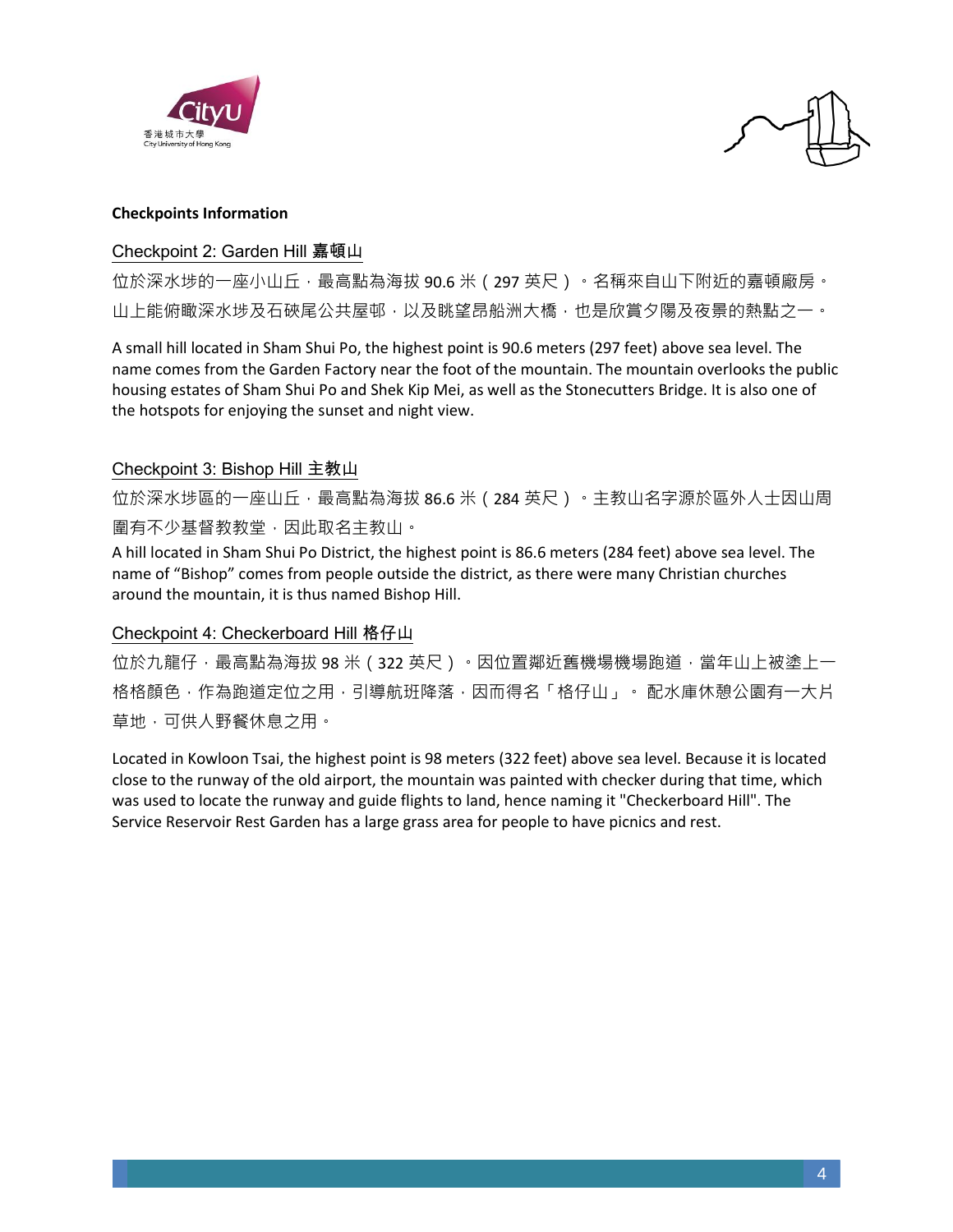



#### **Checkpoints Information**

#### Checkpoint 2: Garden Hill 嘉頓山

位於深水埗的一座小山丘,最高點為海拔 90.6 米 ( 297 英尺 ) 。名稱來自山下附近的嘉頓廠房。 山上能俯瞰深水埗及石硤尾公共屋邨,以及眺望昂船洲大橋,也是欣賞夕陽及夜景的熱點之一。

A small hill located in Sham Shui Po, the highest point is 90.6 meters (297 feet) above sea level. The name comes from the Garden Factory near the foot of the mountain. The mountain overlooks the public housing estates of Sham Shui Po and Shek Kip Mei, as well as the Stonecutters Bridge. It is also one of the hotspots for enjoying the sunset and night view.

#### Checkpoint 3: Bishop Hill 主教山

位於深水埗區的一座山丘,最高點為海拔 86.6 米 (284 英尺) 。主教山名字源於區外人士因山周 圍有不少基督教教堂,因此取名主教山。

A hill located in Sham Shui Po District, the highest point is 86.6 meters (284 feet) above sea level. The name of "Bishop" comes from people outside the district, as there were many Christian churches around the mountain, it is thus named Bishop Hill.

#### Checkpoint 4: Checkerboard Hill 格仔山

位於九龍仔,最高點為海拔 98 米 (322 英尺) 。因位置鄰近舊機場機場跑道,當年山上被塗上一 格格顏色,作為跑道定位之用,引導航班降落,因而得名「格仔山」。 配水庫休憩公園有一大片 草地,可供人野餐休息之用。

Located in Kowloon Tsai, the highest point is 98 meters (322 feet) above sea level. Because it is located close to the runway of the old airport, the mountain was painted with checker during that time, which was used to locate the runway and guide flights to land, hence naming it "Checkerboard Hill". The Service Reservoir Rest Garden has a large grass area for people to have picnics and rest.